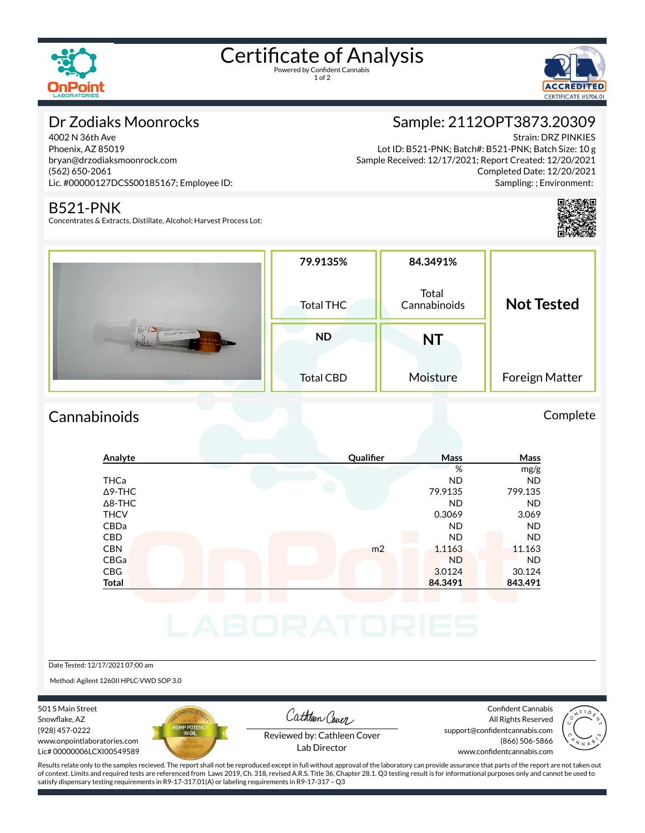

# Certificate of Analysis

1 of 2



## Dr Zodiaks Moonrocks

4002 N 36th Ave Phoenix, AZ 85019 bryan@drzodiaksmoonrock.com (562) 650-2061 Lic. #00000127DCSS00185167; Employee ID:

### B521-PNK

Concentrates & Extracts, Distillate, Alcohol; Harvest Process Lot:

## Sample: 2112OPT3873.20309

Strain: DRZ PINKIES Lot ID: B521-PNK; Batch#: B521-PNK; Batch Size: 10 g Sample Received: 12/17/2021; Report Created: 12/20/2021 Completed Date: 12/20/2021 Sampling: ; Environment:



|                                                                    | 79.9135%         | 84.3491%              |                   |
|--------------------------------------------------------------------|------------------|-----------------------|-------------------|
|                                                                    | Total THC        | Total<br>Cannabinoids | <b>Not Tested</b> |
| $\iint_R k$<br>21120PT3873 20309<br>jinli i<br><b>GRITIS YOUTE</b> | <b>ND</b>        | NT                    |                   |
|                                                                    | <b>Total CBD</b> | Moisture              | Foreign Matter    |

## Cannabinoids Complete

## **Analyte Quali×er Mass Mass** % mg/g THCa ND ND Δ9-THC 79.9135 799.135 Δ8-THC ND ND THCV 0.3069 3.069 CBDa ND ND CBD ND ND **CBN** m2 1.1163 11.163 CBGa ND ND CBG 30.124 30.124 **Total 84.3491 843.491** Date Tested: 12/17/2021 07:00 am

Method: Agilent 1260II HPLC-VWD SOP 3.0

501 S Main Street Snowflake, AZ (928) 457-0222 www.onpointlaboratories.com Lic# 00000006LCXI00549589



Cathleen Cover

Confident Cannabis All Rights Reserved support@confidentcannabis.com (866) 506-5866



Reviewed by: Cathleen Cover Lab Director

www.confidentcannabis.com

Results relate only to the samples recieved. The report shall not be reproduced except in full without approval of the laboratory can provide assurance that parts of the report are not taken out of context. Limits and required tests are referenced from Laws 2019, Ch. 318, revised A.R.S. Title 36, Chapter 28.1. Q3 testing result is for informational purposes only and cannot be used to satisfy dispensary testing requirements in R9-17-317.01(A) or labeling requirements in R9-17-317 – Q3